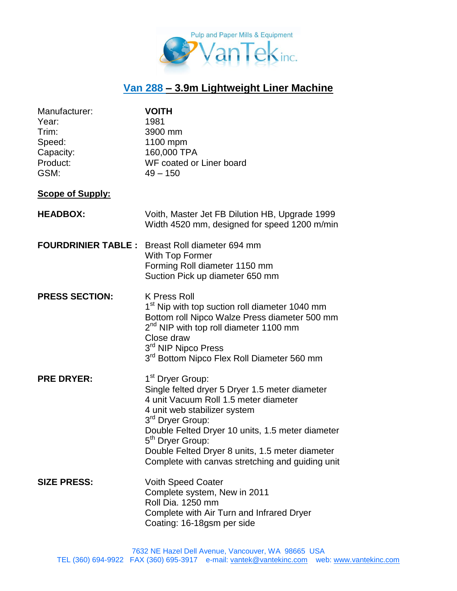

## **Van 288 – 3.9m Lightweight Liner Machine**

| Manufacturer:<br>Year:<br>Trim:<br>Speed:<br>Capacity:<br>Product:<br>GSM: | <b>VOITH</b><br>1981<br>3900 mm<br>1100 mpm<br>160,000 TPA<br>WF coated or Liner board<br>$49 - 150$                                                                                                                                                                                                                                                                               |
|----------------------------------------------------------------------------|------------------------------------------------------------------------------------------------------------------------------------------------------------------------------------------------------------------------------------------------------------------------------------------------------------------------------------------------------------------------------------|
| <b>Scope of Supply:</b>                                                    |                                                                                                                                                                                                                                                                                                                                                                                    |
| <b>HEADBOX:</b>                                                            | Voith, Master Jet FB Dilution HB, Upgrade 1999<br>Width 4520 mm, designed for speed 1200 m/min                                                                                                                                                                                                                                                                                     |
|                                                                            | <b>FOURDRINIER TABLE:</b> Breast Roll diameter 694 mm<br>With Top Former<br>Forming Roll diameter 1150 mm<br>Suction Pick up diameter 650 mm                                                                                                                                                                                                                                       |
| <b>PRESS SECTION:</b>                                                      | <b>K Press Roll</b><br>1 <sup>st</sup> Nip with top suction roll diameter 1040 mm<br>Bottom roll Nipco Walze Press diameter 500 mm<br>2 <sup>nd</sup> NIP with top roll diameter 1100 mm<br>Close draw<br>3 <sup>rd</sup> NIP Nipco Press<br>3 <sup>rd</sup> Bottom Nipco Flex Roll Diameter 560 mm                                                                                |
| <b>PRE DRYER:</b>                                                          | 1 <sup>st</sup> Dryer Group:<br>Single felted dryer 5 Dryer 1.5 meter diameter<br>4 unit Vacuum Roll 1.5 meter diameter<br>4 unit web stabilizer system<br>3 <sup>rd</sup> Dryer Group:<br>Double Felted Dryer 10 units, 1.5 meter diameter<br>5 <sup>th</sup> Dryer Group:<br>Double Felted Dryer 8 units, 1.5 meter diameter<br>Complete with canvas stretching and guiding unit |
| <b>SIZE PRESS:</b>                                                         | <b>Voith Speed Coater</b><br>Complete system, New in 2011<br>Roll Dia. 1250 mm<br>Complete with Air Turn and Infrared Dryer<br>Coating: 16-18gsm per side                                                                                                                                                                                                                          |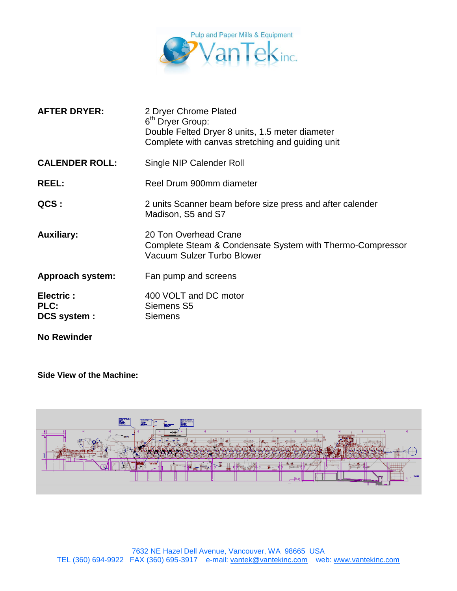

| <b>AFTER DRYER:</b>                      | 2 Dryer Chrome Plated<br>6 <sup>th</sup> Dryer Group:<br>Double Felted Dryer 8 units, 1.5 meter diameter<br>Complete with canvas stretching and guiding unit |
|------------------------------------------|--------------------------------------------------------------------------------------------------------------------------------------------------------------|
| <b>CALENDER ROLL:</b>                    | Single NIP Calender Roll                                                                                                                                     |
| <b>REEL:</b>                             | Reel Drum 900mm diameter                                                                                                                                     |
| QCS :                                    | 2 units Scanner beam before size press and after calender<br>Madison, S5 and S7                                                                              |
| <b>Auxiliary:</b>                        | 20 Ton Overhead Crane<br>Complete Steam & Condensate System with Thermo-Compressor<br>Vacuum Sulzer Turbo Blower                                             |
| <b>Approach system:</b>                  | Fan pump and screens                                                                                                                                         |
| <b>Electric:</b><br>PLC:<br>DCS system : | 400 VOLT and DC motor<br>Siemens S5<br><b>Siemens</b>                                                                                                        |

**No Rewinder**

**Side View of the Machine:**

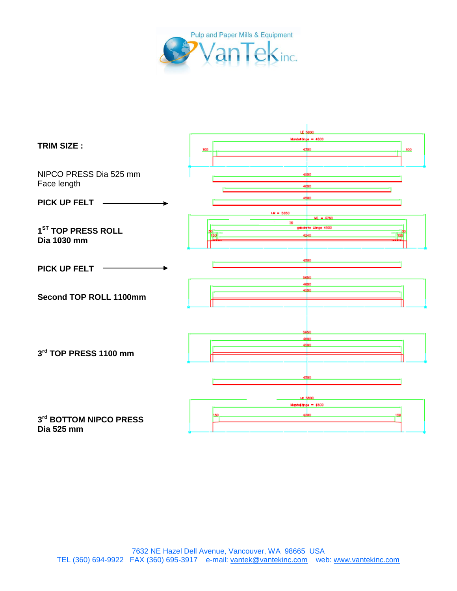

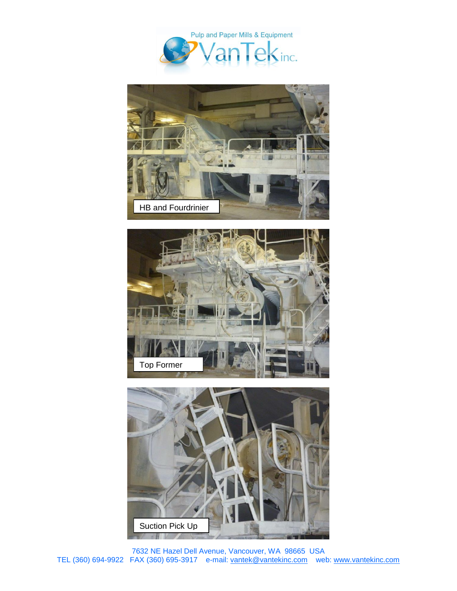







7632 NE Hazel Dell Avenue, Vancouver, WA 98665 USA TEL (360) 694-9922 FAX (360) 695-3917 e-mail: <u>vantek@vantekinc.com</u> web: [www.vantekinc.com](http://www.vantekinc.com/)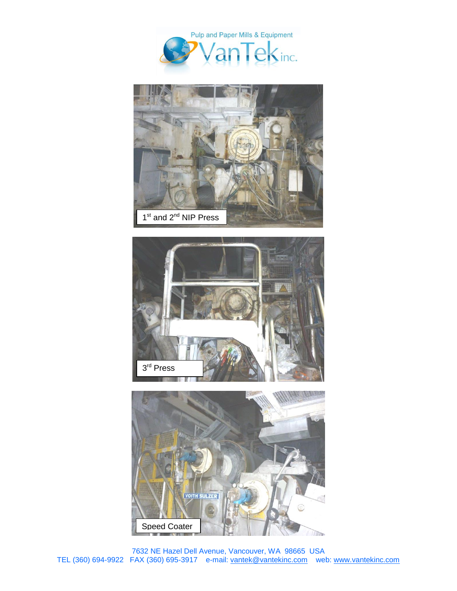







7632 NE Hazel Dell Avenue, Vancouver, WA 98665 USA TEL (360) 694-9922 FAX (360) 695-3917 e-mail: <u>vantek@vantekinc.com</u> web: [www.vantekinc.com](http://www.vantekinc.com/)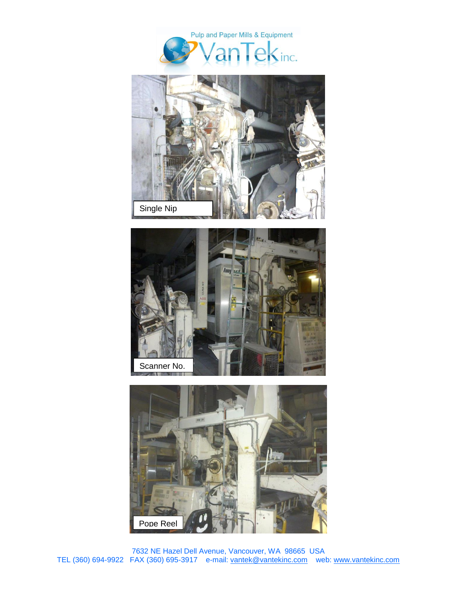







7632 NE Hazel Dell Avenue, Vancouver, WA 98665 USA TEL (360) 694-9922 FAX (360) 695-3917 e-mail: <u>vantek@vantekinc.com</u> web: [www.vantekinc.com](http://www.vantekinc.com/)